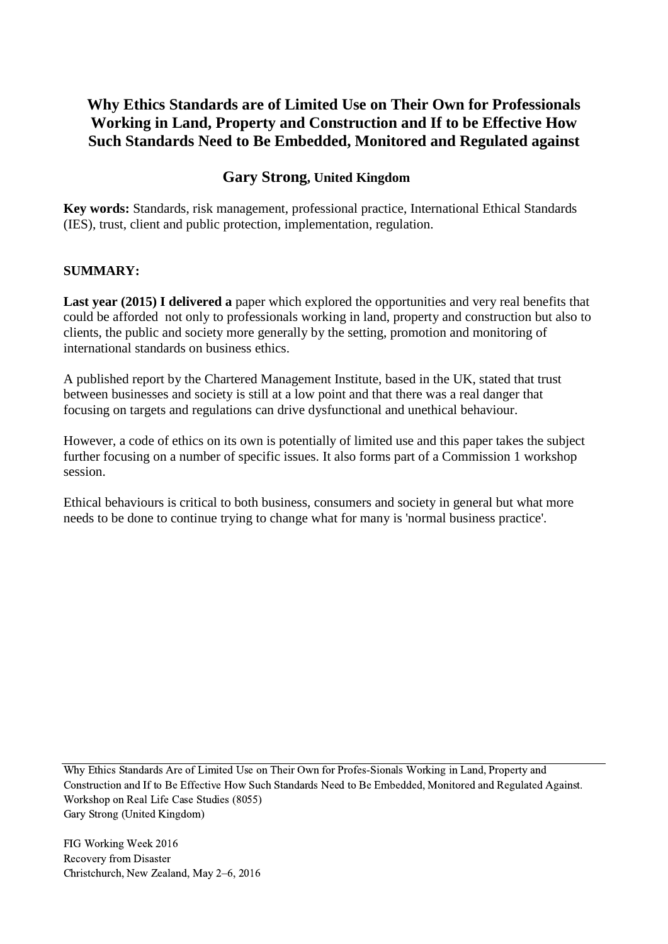## **Why Ethics Standards are of Limited Use on Their Own for Professionals Working in Land, Property and Construction and If to be Effective How Such Standards Need to Be Embedded, Monitored and Regulated against**

## **Gary Strong, United Kingdom**

**Key words:** Standards, risk management, professional practice, International Ethical Standards (IES), trust, client and public protection, implementation, regulation.

#### **SUMMARY:**

**Last year (2015) I delivered a** paper which explored the opportunities and very real benefits that could be afforded not only to professionals working in land, property and construction but also to clients, the public and society more generally by the setting, promotion and monitoring of international standards on business ethics.

A published report by the Chartered Management Institute, based in the UK, stated that trust between businesses and society is still at a low point and that there was a real danger that focusing on targets and regulations can drive dysfunctional and unethical behaviour.

However, a code of ethics on its own is potentially of limited use and this paper takes the subject further focusing on a number of specific issues. It also forms part of a Commission 1 workshop session.

Ethical behaviours is critical to both business, consumers and society in general but what more needs to be done to continue trying to change what for many is 'normal business practice'.

Why Ethics Standards Are of Limited Use on Their Own for Profes-Sionals Working in Land, Property and Construction and If to Be Effective How Such Standards Need to Be Embedded, Monitored and Regulated Against. Workshop on Real Life Case Studies (8055) Gary Strong (United Kingdom)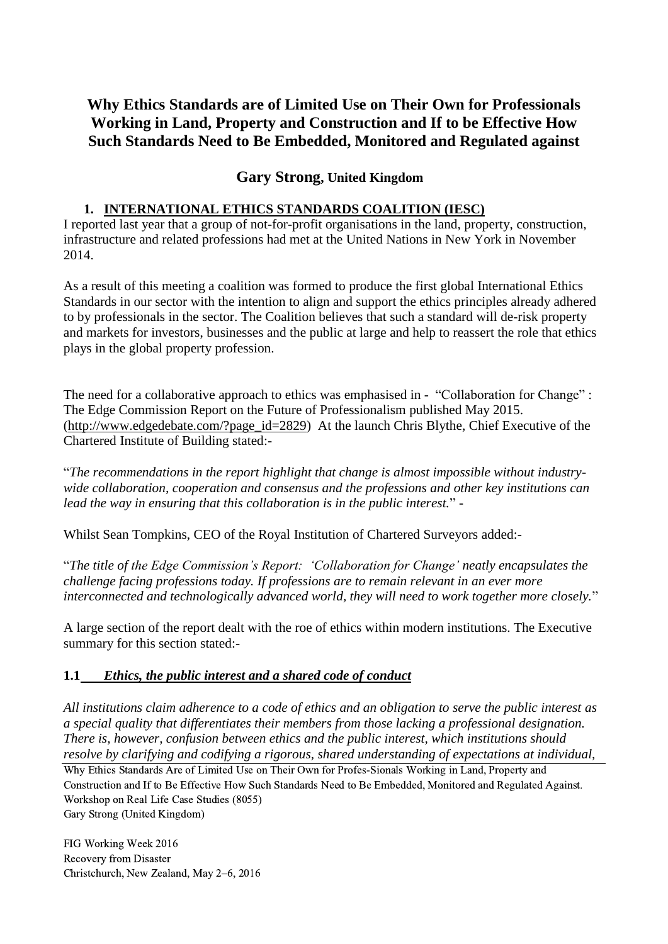## **Why Ethics Standards are of Limited Use on Their Own for Professionals Working in Land, Property and Construction and If to be Effective How Such Standards Need to Be Embedded, Monitored and Regulated against**

## **Gary Strong, United Kingdom**

## **1. INTERNATIONAL ETHICS STANDARDS COALITION (IESC)**

I reported last year that a group of not-for-profit organisations in the land, property, construction, infrastructure and related professions had met at the United Nations in New York in November 2014.

As a result of this meeting a coalition was formed to produce the first global International Ethics Standards in our sector with the intention to align and support the ethics principles already adhered to by professionals in the sector. The Coalition believes that such a standard will de-risk property and markets for investors, businesses and the public at large and help to reassert the role that ethics plays in the global property profession.

The need for a collaborative approach to ethics was emphasised in - "Collaboration for Change" : The Edge Commission Report on the Future of Professionalism published May 2015. [\(http://www.edgedebate.com/?page\\_id=2829\)](http://www.edgedebate.com/?page_id=2829) At the launch Chris Blythe, Chief Executive of the Chartered Institute of Building stated:-

"*The recommendations in the report highlight that change is almost impossible without industrywide collaboration, cooperation and consensus and the professions and other key institutions can lead the way in ensuring that this collaboration is in the public interest.*" -

Whilst Sean Tompkins, CEO of the Royal Institution of Chartered Surveyors added:-

"*The title of the Edge Commission's Report: 'Collaboration for Change' neatly encapsulates the challenge facing professions today. If professions are to remain relevant in an ever more interconnected and technologically advanced world, they will need to work together more closely.*"

A large section of the report dealt with the roe of ethics within modern institutions. The Executive summary for this section stated:-

## **1.1** *Ethics, the public interest and a shared code of conduct*

*All institutions claim adherence to a code of ethics and an obligation to serve the public interest as a special quality that differentiates their members from those lacking a professional designation. There is, however, confusion between ethics and the public interest, which institutions should resolve by clarifying and codifying a rigorous, shared understanding of expectations at individual,* 

Why Ethics Standards Are of Limited Use on Their Own for Profes-Sionals Working in Land, Property and Construction and If to Be Effective How Such Standards Need to Be Embedded, Monitored and Regulated Against. Workshop on Real Life Case Studies (8055)

Gary Strong (United Kingdom)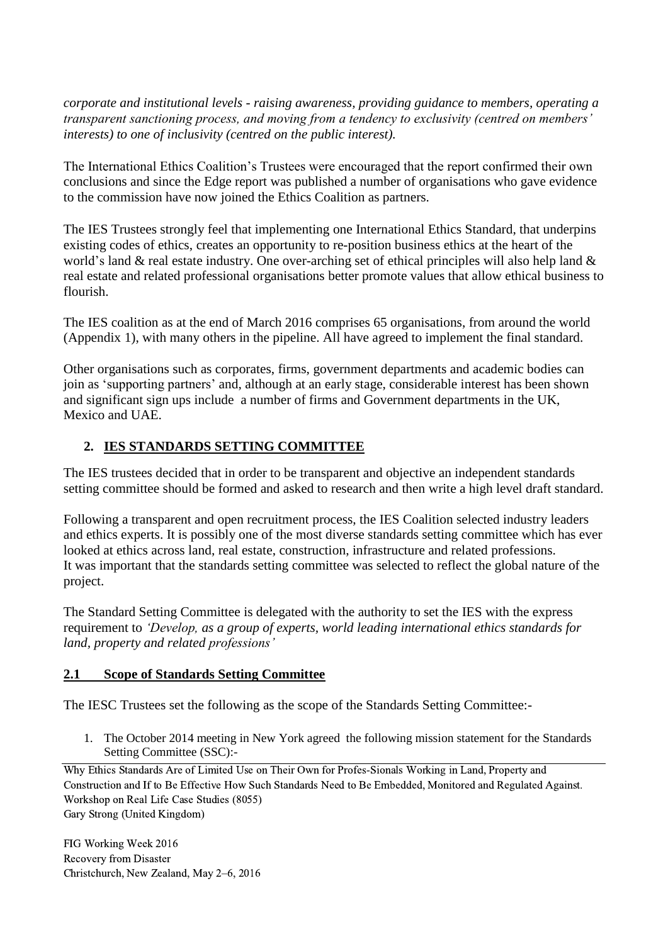*corporate and institutional levels - raising awareness, providing guidance to members, operating a transparent sanctioning process, and moving from a tendency to exclusivity (centred on members' interests) to one of inclusivity (centred on the public interest).*

The International Ethics Coalition's Trustees were encouraged that the report confirmed their own conclusions and since the Edge report was published a number of organisations who gave evidence to the commission have now joined the Ethics Coalition as partners.

The IES Trustees strongly feel that implementing one International Ethics Standard, that underpins existing codes of ethics, creates an opportunity to re-position business ethics at the heart of the world's land & real estate industry. One over-arching set of ethical principles will also help land & real estate and related professional organisations better promote values that allow ethical business to flourish.

The IES coalition as at the end of March 2016 comprises 65 organisations, from around the world (Appendix 1), with many others in the pipeline. All have agreed to implement the final standard.

Other organisations such as corporates, firms, government departments and academic bodies can join as 'supporting partners' and, although at an early stage, considerable interest has been shown and significant sign ups include a number of firms and Government departments in the UK, Mexico and UAE.

## **2. IES STANDARDS SETTING COMMITTEE**

The IES trustees decided that in order to be transparent and objective an independent standards setting committee should be formed and asked to research and then write a high level draft standard.

Following a transparent and open recruitment process, the IES Coalition selected industry leaders and ethics experts. It is possibly one of the most diverse standards setting committee which has ever looked at ethics across land, real estate, construction, infrastructure and related professions. It was important that the standards setting committee was selected to reflect the global nature of the project.

The Standard Setting Committee is delegated with the authority to set the IES with the express requirement to *'Develop, as a group of experts, world leading international ethics standards for land, property and related professions'*

## **2.1 Scope of Standards Setting Committee**

The IESC Trustees set the following as the scope of the Standards Setting Committee:-

1. The October 2014 meeting in New York agreed the following mission statement for the Standards Setting Committee (SSC):-

Why Ethics Standards Are of Limited Use on Their Own for Profes-Sionals Working in Land, Property and Construction and If to Be Effective How Such Standards Need to Be Embedded, Monitored and Regulated Against. Workshop on Real Life Case Studies (8055) Gary Strong (United Kingdom)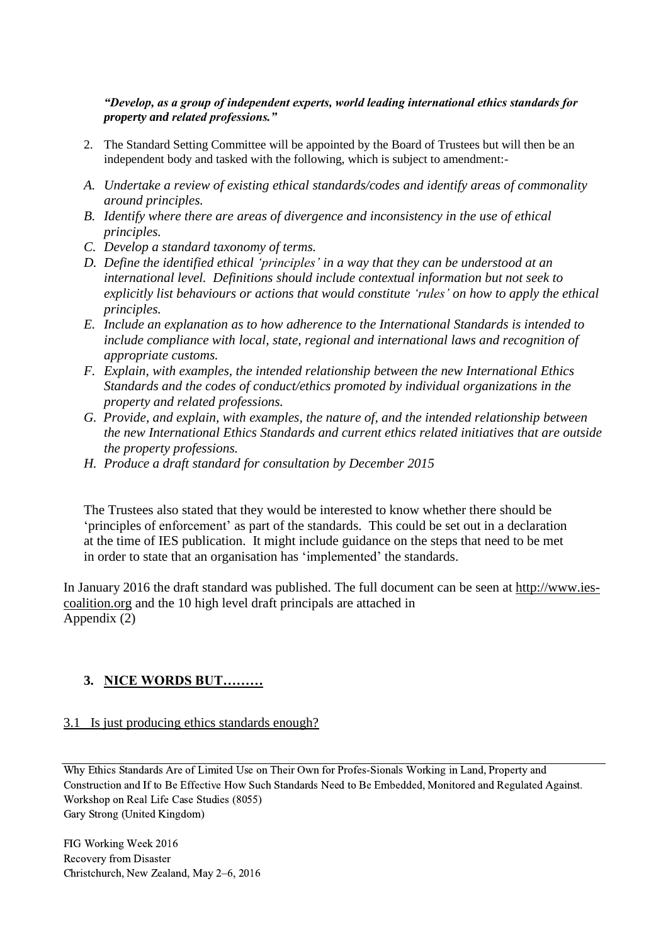#### *"Develop, as a group of independent experts, world leading international ethics standards for property and related professions."*

- 2. The Standard Setting Committee will be appointed by the Board of Trustees but will then be an independent body and tasked with the following, which is subject to amendment:-
- *A. Undertake a review of existing ethical standards/codes and identify areas of commonality around principles.*
- *B. Identify where there are areas of divergence and inconsistency in the use of ethical principles.*
- *C. Develop a standard taxonomy of terms.*
- *D. Define the identified ethical 'principles' in a way that they can be understood at an international level. Definitions should include contextual information but not seek to explicitly list behaviours or actions that would constitute 'rules' on how to apply the ethical principles.*
- *E. Include an explanation as to how adherence to the International Standards is intended to include compliance with local, state, regional and international laws and recognition of appropriate customs.*
- *F. Explain, with examples, the intended relationship between the new International Ethics Standards and the codes of conduct/ethics promoted by individual organizations in the property and related professions.*
- *G. Provide, and explain, with examples, the nature of, and the intended relationship between the new International Ethics Standards and current ethics related initiatives that are outside the property professions.*
- *H. Produce a draft standard for consultation by December 2015*

The Trustees also stated that they would be interested to know whether there should be 'principles of enforcement' as part of the standards. This could be set out in a declaration at the time of IES publication. It might include guidance on the steps that need to be met in order to state that an organisation has 'implemented' the standards.

In January 2016 the draft standard was published. The full document can be seen at [http://www.ies](http://www.ies-coalition.org/)[coalition.org](http://www.ies-coalition.org/) and the 10 high level draft principals are attached in Appendix (2)

## **3. NICE WORDS BUT………**

#### 3.1 Is just producing ethics standards enough?

Why Ethics Standards Are of Limited Use on Their Own for Profes-Sionals Working in Land, Property and Construction and If to Be Effective How Such Standards Need to Be Embedded, Monitored and Regulated Against. Workshop on Real Life Case Studies (8055) Gary Strong (United Kingdom)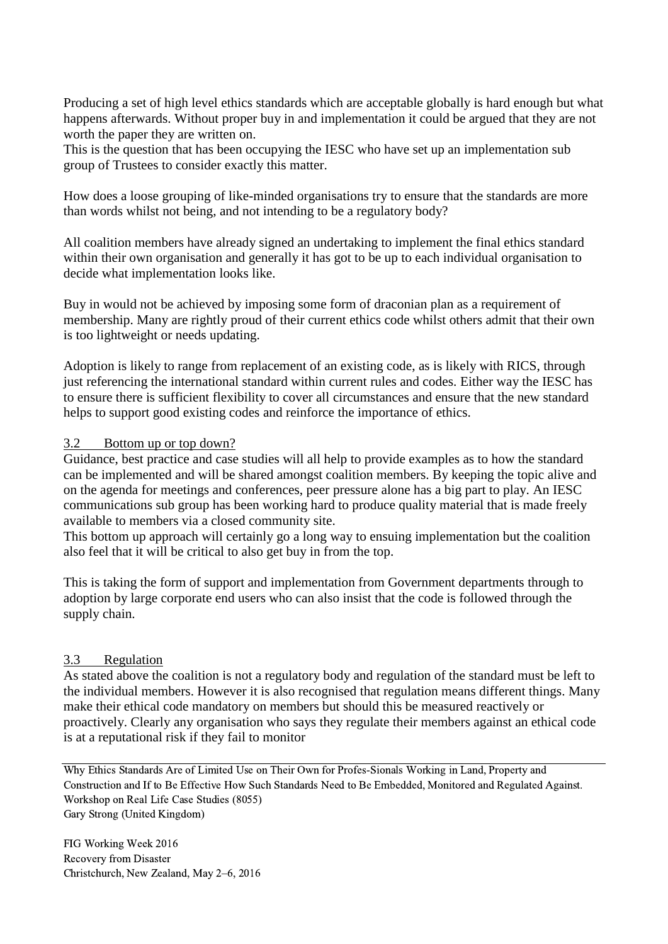Producing a set of high level ethics standards which are acceptable globally is hard enough but what happens afterwards. Without proper buy in and implementation it could be argued that they are not worth the paper they are written on.

This is the question that has been occupying the IESC who have set up an implementation sub group of Trustees to consider exactly this matter.

How does a loose grouping of like-minded organisations try to ensure that the standards are more than words whilst not being, and not intending to be a regulatory body?

All coalition members have already signed an undertaking to implement the final ethics standard within their own organisation and generally it has got to be up to each individual organisation to decide what implementation looks like.

Buy in would not be achieved by imposing some form of draconian plan as a requirement of membership. Many are rightly proud of their current ethics code whilst others admit that their own is too lightweight or needs updating.

Adoption is likely to range from replacement of an existing code, as is likely with RICS, through just referencing the international standard within current rules and codes. Either way the IESC has to ensure there is sufficient flexibility to cover all circumstances and ensure that the new standard helps to support good existing codes and reinforce the importance of ethics.

#### 3.2 Bottom up or top down?

Guidance, best practice and case studies will all help to provide examples as to how the standard can be implemented and will be shared amongst coalition members. By keeping the topic alive and on the agenda for meetings and conferences, peer pressure alone has a big part to play. An IESC communications sub group has been working hard to produce quality material that is made freely available to members via a closed community site.

This bottom up approach will certainly go a long way to ensuing implementation but the coalition also feel that it will be critical to also get buy in from the top.

This is taking the form of support and implementation from Government departments through to adoption by large corporate end users who can also insist that the code is followed through the supply chain.

#### 3.3 Regulation

As stated above the coalition is not a regulatory body and regulation of the standard must be left to the individual members. However it is also recognised that regulation means different things. Many make their ethical code mandatory on members but should this be measured reactively or proactively. Clearly any organisation who says they regulate their members against an ethical code is at a reputational risk if they fail to monitor

Why Ethics Standards Are of Limited Use on Their Own for Profes-Sionals Working in Land, Property and Construction and If to Be Effective How Such Standards Need to Be Embedded, Monitored and Regulated Against. Workshop on Real Life Case Studies (8055) Gary Strong (United Kingdom)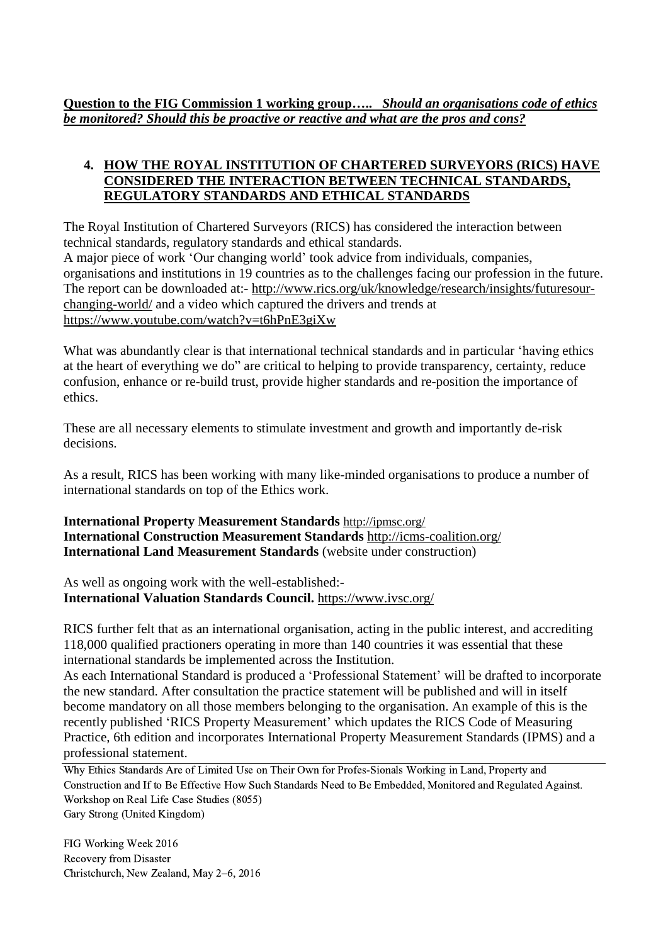**Question to the FIG Commission 1 working group…..** *Should an organisations code of ethics be monitored? Should this be proactive or reactive and what are the pros and cons?*

## **4. HOW THE ROYAL INSTITUTION OF CHARTERED SURVEYORS (RICS) HAVE CONSIDERED THE INTERACTION BETWEEN TECHNICAL STANDARDS, REGULATORY STANDARDS AND ETHICAL STANDARDS**

The Royal Institution of Chartered Surveyors (RICS) has considered the interaction between technical standards, regulatory standards and ethical standards. A major piece of work 'Our changing world' took advice from individuals, companies, organisations and institutions in 19 countries as to the challenges facing our profession in the future. The report can be downloaded at:- [http://www.rics.org/uk/knowledge/research/insights/futuresour](http://www.rics.org/uk/knowledge/research/insights/futuresour-changing-world/)[changing-world/](http://www.rics.org/uk/knowledge/research/insights/futuresour-changing-world/) and a video which captured the drivers and trends at <https://www.youtube.com/watch?v=t6hPnE3giXw>

What was abundantly clear is that international technical standards and in particular 'having ethics at the heart of everything we do" are critical to helping to provide transparency, certainty, reduce confusion, enhance or re-build trust, provide higher standards and re-position the importance of ethics.

These are all necessary elements to stimulate investment and growth and importantly de-risk decisions.

As a result, RICS has been working with many like-minded organisations to produce a number of international standards on top of the Ethics work.

**International Property Measurement Standards** <http://ipmsc.org/> **International Construction Measurement Standards** <http://icms-coalition.org/> **International Land Measurement Standards** (website under construction)

As well as ongoing work with the well-established:- **International Valuation Standards Council.** <https://www.ivsc.org/>

RICS further felt that as an international organisation, acting in the public interest, and accrediting 118,000 qualified practioners operating in more than 140 countries it was essential that these international standards be implemented across the Institution.

As each International Standard is produced a 'Professional Statement' will be drafted to incorporate the new standard. After consultation the practice statement will be published and will in itself become mandatory on all those members belonging to the organisation. An example of this is the recently published 'RICS Property Measurement' which updates the RICS Code of Measuring Practice, 6th edition and incorporates International Property Measurement Standards (IPMS) and a professional statement.

Why Ethics Standards Are of Limited Use on Their Own for Profes-Sionals Working in Land, Property and Construction and If to Be Effective How Such Standards Need to Be Embedded, Monitored and Regulated Against. Workshop on Real Life Case Studies (8055) Gary Strong (United Kingdom)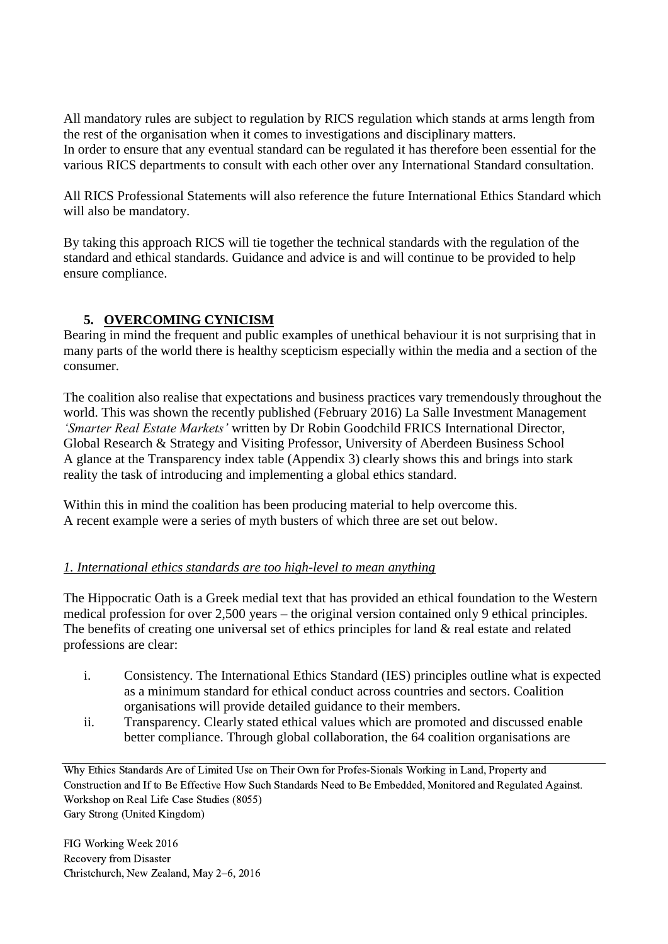All mandatory rules are subject to regulation by RICS regulation which stands at arms length from the rest of the organisation when it comes to investigations and disciplinary matters. In order to ensure that any eventual standard can be regulated it has therefore been essential for the various RICS departments to consult with each other over any International Standard consultation.

All RICS Professional Statements will also reference the future International Ethics Standard which will also be mandatory.

By taking this approach RICS will tie together the technical standards with the regulation of the standard and ethical standards. Guidance and advice is and will continue to be provided to help ensure compliance.

## **5. OVERCOMING CYNICISM**

Bearing in mind the frequent and public examples of unethical behaviour it is not surprising that in many parts of the world there is healthy scepticism especially within the media and a section of the consumer.

The coalition also realise that expectations and business practices vary tremendously throughout the world. This was shown the recently published (February 2016) La Salle Investment Management *'Smarter Real Estate Markets'* written by Dr Robin Goodchild FRICS International Director, Global Research & Strategy and Visiting Professor, University of Aberdeen Business School A glance at the Transparency index table (Appendix 3) clearly shows this and brings into stark reality the task of introducing and implementing a global ethics standard.

Within this in mind the coalition has been producing material to help overcome this. A recent example were a series of myth busters of which three are set out below.

## *1. International ethics standards are too high-level to mean anything*

The Hippocratic Oath is a Greek medial text that has provided an ethical foundation to the Western medical profession for over 2,500 years – the original version contained only 9 ethical principles. The benefits of creating one universal set of ethics principles for land & real estate and related professions are clear:

- i. Consistency. The International Ethics Standard (IES) principles outline what is expected as a minimum standard for ethical conduct across countries and sectors. Coalition organisations will provide detailed guidance to their members.
- ii. Transparency. Clearly stated ethical values which are promoted and discussed enable better compliance. Through global collaboration, the 64 coalition organisations are

Why Ethics Standards Are of Limited Use on Their Own for Profes-Sionals Working in Land, Property and Construction and If to Be Effective How Such Standards Need to Be Embedded, Monitored and Regulated Against. Workshop on Real Life Case Studies (8055) Gary Strong (United Kingdom)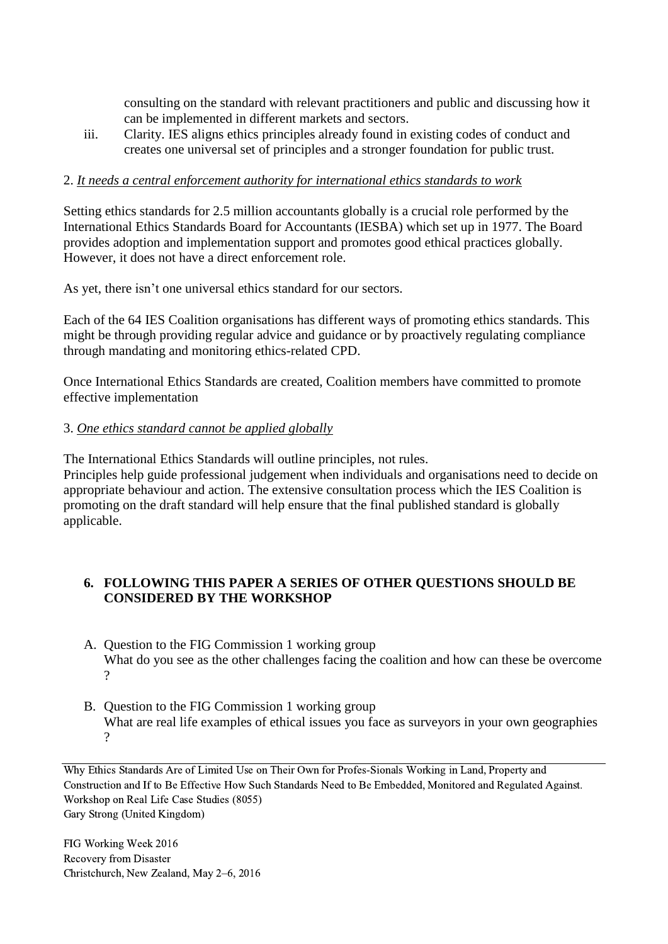consulting on the standard with relevant practitioners and public and discussing how it can be implemented in different markets and sectors.

iii. Clarity. IES aligns ethics principles already found in existing codes of conduct and creates one universal set of principles and a stronger foundation for public trust.

## 2. *It needs a central enforcement authority for international ethics standards to work*

Setting ethics standards for 2.5 million accountants globally is a crucial role performed by the International Ethics Standards Board for Accountants (IESBA) which set up in 1977. The Board provides adoption and implementation support and promotes good ethical practices globally. However, it does not have a direct enforcement role.

As yet, there isn't one universal ethics standard for our sectors.

Each of the 64 IES Coalition organisations has different ways of promoting ethics standards. This might be through providing regular advice and guidance or by proactively regulating compliance through mandating and monitoring ethics-related CPD.

Once International Ethics Standards are created, Coalition members have committed to promote effective implementation

#### 3. *One ethics standard cannot be applied globally*

The International Ethics Standards will outline principles, not rules.

Principles help guide professional judgement when individuals and organisations need to decide on appropriate behaviour and action. The extensive consultation process which the IES Coalition is promoting on the draft standard will help ensure that the final published standard is globally applicable.

## **6. FOLLOWING THIS PAPER A SERIES OF OTHER QUESTIONS SHOULD BE CONSIDERED BY THE WORKSHOP**

- A. Question to the FIG Commission 1 working group What do you see as the other challenges facing the coalition and how can these be overcome ?
- B. Question to the FIG Commission 1 working group What are real life examples of ethical issues you face as surveyors in your own geographies ?

Why Ethics Standards Are of Limited Use on Their Own for Profes-Sionals Working in Land, Property and Construction and If to Be Effective How Such Standards Need to Be Embedded, Monitored and Regulated Against. Workshop on Real Life Case Studies (8055) Gary Strong (United Kingdom)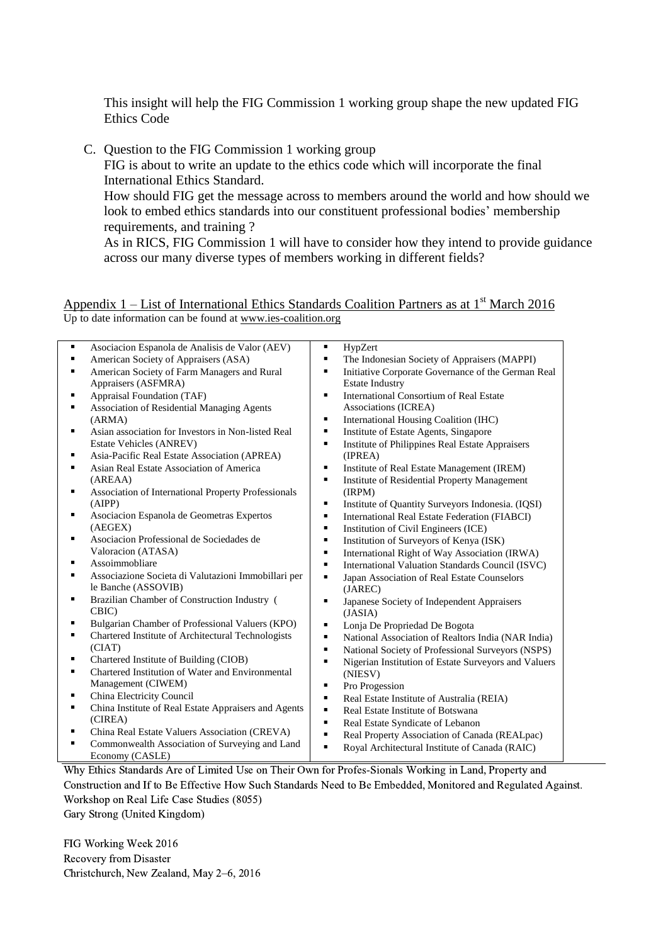This insight will help the FIG Commission 1 working group shape the new updated FIG Ethics Code

C. Question to the FIG Commission 1 working group

FIG is about to write an update to the ethics code which will incorporate the final International Ethics Standard.

How should FIG get the message across to members around the world and how should we look to embed ethics standards into our constituent professional bodies' membership requirements, and training ?

As in RICS, FIG Commission 1 will have to consider how they intend to provide guidance across our many diverse types of members working in different fields?

#### Appendix  $1$  – List of International Ethics Standards Coalition Partners as at 1<sup>st</sup> March 2016 Up to date information can be found at [www.ies-coalition.org](http://www.ies-coalition.org/)

| ٠ | Asociacion Espanola de Analisis de Valor (AEV)       | Ξ | HypZert                                              |
|---|------------------------------------------------------|---|------------------------------------------------------|
|   | American Society of Appraisers (ASA)                 | Ξ | The Indonesian Society of Appraisers (MAPPI)         |
| ٠ | American Society of Farm Managers and Rural          | ٠ | Initiative Corporate Governance of the German Real   |
|   | Appraisers (ASFMRA)                                  |   | <b>Estate Industry</b>                               |
| ٠ | Appraisal Foundation (TAF)                           | ٠ | <b>International Consortium of Real Estate</b>       |
| ٠ | Association of Residential Managing Agents           |   | Associations (ICREA)                                 |
|   | (ARMA)                                               | ٠ | International Housing Coalition (IHC)                |
| ٠ | Asian association for Investors in Non-listed Real   | ٠ | Institute of Estate Agents, Singapore                |
|   | Estate Vehicles (ANREV)                              | ٠ | Institute of Philippines Real Estate Appraisers      |
| ٠ | Asia-Pacific Real Estate Association (APREA)         |   | (IPREA)                                              |
| ٠ | Asian Real Estate Association of America             | ٠ | Institute of Real Estate Management (IREM)           |
|   | (AREAA)                                              | Ξ | Institute of Residential Property Management         |
| ٠ | Association of International Property Professionals  |   | (IRPM)                                               |
|   | (AIPP)                                               | ٠ | Institute of Quantity Surveyors Indonesia. (IQSI)    |
| ٠ | Asociacion Espanola de Geometras Expertos            | ٠ | International Real Estate Federation (FIABCI)        |
|   | (AEGEX)                                              | ٠ | Institution of Civil Engineers (ICE)                 |
| ٠ | Asociacion Professional de Sociedades de             | Ξ | Institution of Surveyors of Kenya (ISK)              |
|   | Valoracion (ATASA)                                   | ٠ | International Right of Way Association (IRWA)        |
| ٠ | Assoimmobliare                                       | ٠ | International Valuation Standards Council (ISVC)     |
| ٠ | Associazione Societa di Valutazioni Immobillari per  | ٠ | Japan Association of Real Estate Counselors          |
|   | le Banche (ASSOVIB)                                  |   | (JAREC)                                              |
| ٠ | Brazilian Chamber of Construction Industry (         | ٠ | Japanese Society of Independent Appraisers           |
|   | CBIC)                                                |   | (JASIA)                                              |
| ٠ | Bulgarian Chamber of Professional Valuers (KPO)      | Ξ | Lonja De Propriedad De Bogota                        |
| ٠ | Chartered Institute of Architectural Technologists   | ٠ | National Association of Realtors India (NAR India)   |
|   | (CIAT)                                               | ٠ | National Society of Professional Surveyors (NSPS)    |
| ٠ | Chartered Institute of Building (CIOB)               | ٠ | Nigerian Institution of Estate Surveyors and Valuers |
| ٠ | Chartered Institution of Water and Environmental     |   | (NIESV)                                              |
|   | Management (CIWEM)                                   | ٠ | Pro Progession                                       |
| ٠ | China Electricity Council                            | ٠ | Real Estate Institute of Australia (REIA)            |
| ٠ | China Institute of Real Estate Appraisers and Agents | ٠ | Real Estate Institute of Botswana                    |
|   | (CIREA)                                              | Ξ | Real Estate Syndicate of Lebanon                     |
| ٠ | China Real Estate Valuers Association (CREVA)        | ٠ | Real Property Association of Canada (REALpac)        |
| ٠ | Commonwealth Association of Surveying and Land       | ٠ | Royal Architectural Institute of Canada (RAIC)       |
|   | Economy (CASLE)                                      |   |                                                      |

Why Ethics Standards Are of Limited Use on Their Own for Profes-Sionals Working in Land, Property and Construction and If to Be Effective How Such Standards Need to Be Embedded, Monitored and Regulated Against. Workshop on Real Life Case Studies (8055)

Gary Strong (United Kingdom)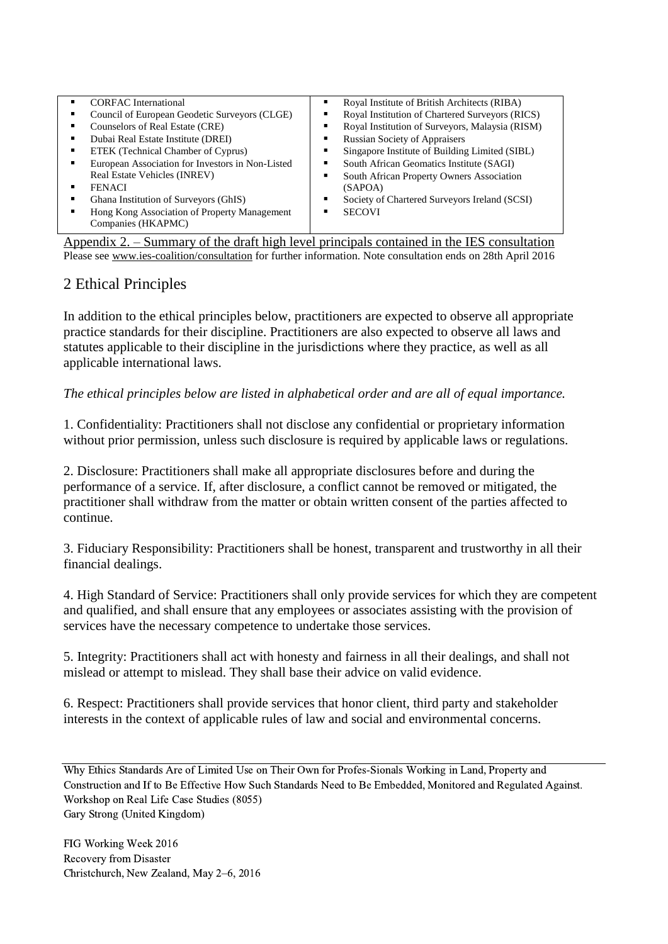| <b>CORFAC</b> International<br>٠                                                                          | Royal Institute of British Architects (RIBA)         |  |  |
|-----------------------------------------------------------------------------------------------------------|------------------------------------------------------|--|--|
| Council of European Geodetic Surveyors (CLGE)                                                             | Royal Institution of Chartered Surveyors (RICS)      |  |  |
| Counselors of Real Estate (CRE)                                                                           | Royal Institution of Surveyors, Malaysia (RISM)<br>٠ |  |  |
| Dubai Real Estate Institute (DREI)                                                                        | <b>Russian Society of Appraisers</b><br>٠            |  |  |
| ETEK (Technical Chamber of Cyprus)                                                                        | Singapore Institute of Building Limited (SIBL)<br>٠  |  |  |
| European Association for Investors in Non-Listed                                                          | South African Geomatics Institute (SAGI)<br>٠        |  |  |
| Real Estate Vehicles (INREV)                                                                              | South African Property Owners Association<br>٠       |  |  |
| <b>FENACI</b>                                                                                             | (SAPOA)                                              |  |  |
| Ghana Institution of Surveyors (GhIS)                                                                     | Society of Chartered Surveyors Ireland (SCSI)        |  |  |
| Hong Kong Association of Property Management<br>٠                                                         | <b>SECOVI</b>                                        |  |  |
| Companies (HKAPMC)                                                                                        |                                                      |  |  |
| $\Lambda$ positive $\Lambda$ Summary of the draft high level principals contained in the IFS consultation |                                                      |  |  |

the draft high level principals contained in th Please see [www.ies-coalition/consultation](http://www.ies-coalition/consultation) for further information. Note consultation ends on 28th April 2016

## 2 Ethical Principles

In addition to the ethical principles below, practitioners are expected to observe all appropriate practice standards for their discipline. Practitioners are also expected to observe all laws and statutes applicable to their discipline in the jurisdictions where they practice, as well as all applicable international laws.

*The ethical principles below are listed in alphabetical order and are all of equal importance.*

1. Confidentiality: Practitioners shall not disclose any confidential or proprietary information without prior permission, unless such disclosure is required by applicable laws or regulations.

2. Disclosure: Practitioners shall make all appropriate disclosures before and during the performance of a service. If, after disclosure, a conflict cannot be removed or mitigated, the practitioner shall withdraw from the matter or obtain written consent of the parties affected to continue.

3. Fiduciary Responsibility: Practitioners shall be honest, transparent and trustworthy in all their financial dealings.

4. High Standard of Service: Practitioners shall only provide services for which they are competent and qualified, and shall ensure that any employees or associates assisting with the provision of services have the necessary competence to undertake those services.

5. Integrity: Practitioners shall act with honesty and fairness in all their dealings, and shall not mislead or attempt to mislead. They shall base their advice on valid evidence.

6. Respect: Practitioners shall provide services that honor client, third party and stakeholder interests in the context of applicable rules of law and social and environmental concerns.

Why Ethics Standards Are of Limited Use on Their Own for Profes-Sionals Working in Land, Property and Construction and If to Be Effective How Such Standards Need to Be Embedded, Monitored and Regulated Against. Workshop on Real Life Case Studies (8055) Gary Strong (United Kingdom)